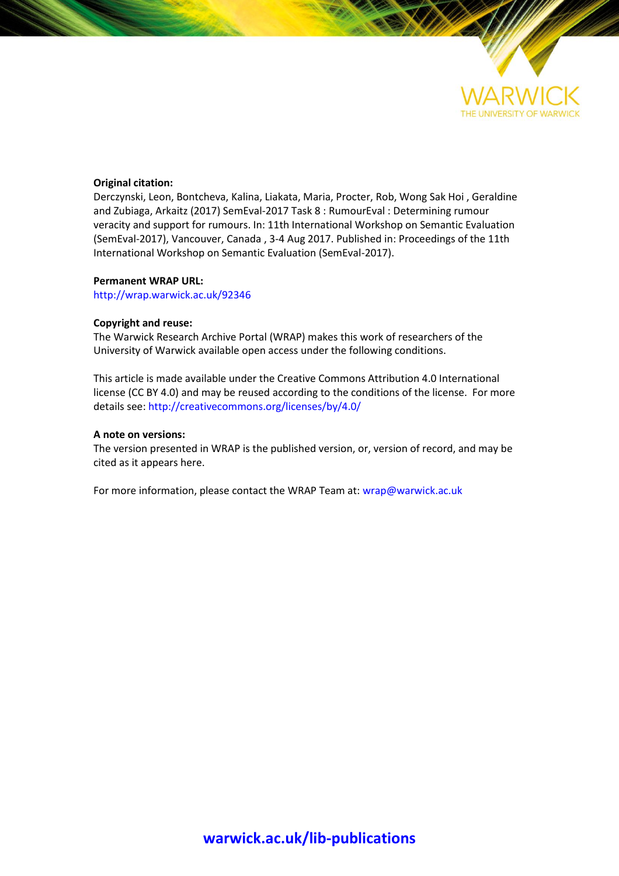

### **Original citation:**

Derczynski, Leon, Bontcheva, Kalina, Liakata, Maria, Procter, Rob, Wong Sak Hoi , Geraldine and Zubiaga, Arkaitz (2017) SemEval-2017 Task 8 : RumourEval : Determining rumour veracity and support for rumours. In: 11th International Workshop on Semantic Evaluation (SemEval-2017), Vancouver, Canada , 3-4 Aug 2017. Published in: Proceedings of the 11th International Workshop on Semantic Evaluation (SemEval-2017).

### **Permanent WRAP URL:**

<http://wrap.warwick.ac.uk/92346>

### **Copyright and reuse:**

The Warwick Research Archive Portal (WRAP) makes this work of researchers of the University of Warwick available open access under the following conditions.

This article is made available under the Creative Commons Attribution 4.0 International license (CC BY 4.0) and may be reused according to the conditions of the license. For more details see[: http://creativecommons.org/licenses/by/4.0/](http://creativecommons.org/licenses/by/4.0/) 

### **A note on versions:**

The version presented in WRAP is the published version, or, version of record, and may be cited as it appears here.

For more information, please contact the WRAP Team at[: wrap@warwick.ac.uk](mailto:wrap@warwick.ac.uk)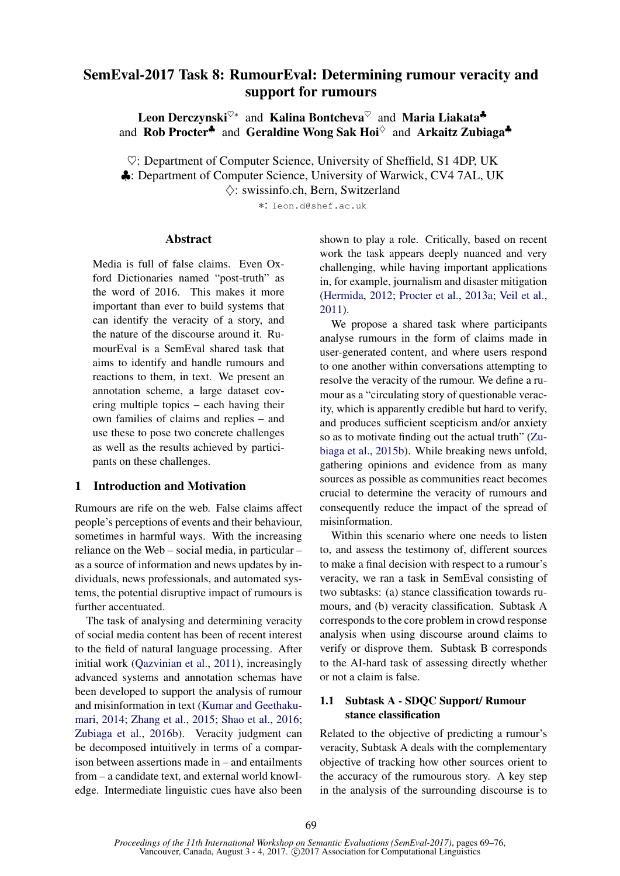# SemEval-2017 Task 8: RumourEval: Determining rumour veracity and support for rumours

Leon Derczynski<sup>♡∗</sup> and Kalina Bontcheva<sup>♡</sup> and Maria Liakata<sup>+</sup> and Rob Procter<sup> $\clubsuit$ </sup> and Geraldine Wong Sak Hoi $\degree$  and Arkaitz Zubiaga $\clubsuit$ 

♥: Department of Computer Science, University of Sheffield, S1 4DP, UK ♣: Department of Computer Science, University of Warwick, CV4 7AL, UK  $\Diamond$ : swissinfo.ch, Bern, Switzerland

∗: leon.d@shef.ac.uk

### Abstract

Media is full of false claims. Even Oxford Dictionaries named "post-truth" as the word of 2016. This makes it more important than ever to build systems that can identify the veracity of a story, and the nature of the discourse around it. RumourEval is a SemEval shared task that aims to identify and handle rumours and reactions to them, in text. We present an annotation scheme, a large dataset covering multiple topics – each having their own families of claims and replies – and use these to pose two concrete challenges as well as the results achieved by participants on these challenges.

# 1 Introduction and Motivation

Rumours are rife on the web. False claims affect people's perceptions of events and their behaviour, sometimes in harmful ways. With the increasing reliance on the Web – social media, in particular – as a source of information and news updates by individuals, news professionals, and automated systems, the potential disruptive impact of rumours is further accentuated.

The task of analysing and determining veracity of social media content has been of recent interest to the field of natural language processing. After initial work (Qazvinian et al., 2011), increasingly advanced systems and annotation schemas have been developed to support the analysis of rumour and misinformation in text (Kumar and Geethakumari, 2014; Zhang et al., 2015; Shao et al., 2016; Zubiaga et al., 2016b). Veracity judgment can be decomposed intuitively in terms of a comparison between assertions made in – and entailments from – a candidate text, and external world knowledge. Intermediate linguistic cues have also been shown to play a role. Critically, based on recent work the task appears deeply nuanced and very challenging, while having important applications in, for example, journalism and disaster mitigation (Hermida, 2012; Procter et al., 2013a; Veil et al., 2011).

We propose a shared task where participants analyse rumours in the form of claims made in user-generated content, and where users respond to one another within conversations attempting to resolve the veracity of the rumour. We define a rumour as a "circulating story of questionable veracity, which is apparently credible but hard to verify, and produces sufficient scepticism and/or anxiety so as to motivate finding out the actual truth" (Zubiaga et al., 2015b). While breaking news unfold, gathering opinions and evidence from as many sources as possible as communities react becomes crucial to determine the veracity of rumours and consequently reduce the impact of the spread of misinformation.

Within this scenario where one needs to listen to, and assess the testimony of, different sources to make a final decision with respect to a rumour's veracity, we ran a task in SemEval consisting of two subtasks: (a) stance classification towards rumours, and (b) veracity classification. Subtask A corresponds to the core problem in crowd response analysis when using discourse around claims to verify or disprove them. Subtask B corresponds to the AI-hard task of assessing directly whether or not a claim is false.

# 1.1 Subtask A - SDQC Support/ Rumour stance classification

Related to the objective of predicting a rumour's veracity, Subtask A deals with the complementary objective of tracking how other sources orient to the accuracy of the rumourous story. A key step in the analysis of the surrounding discourse is to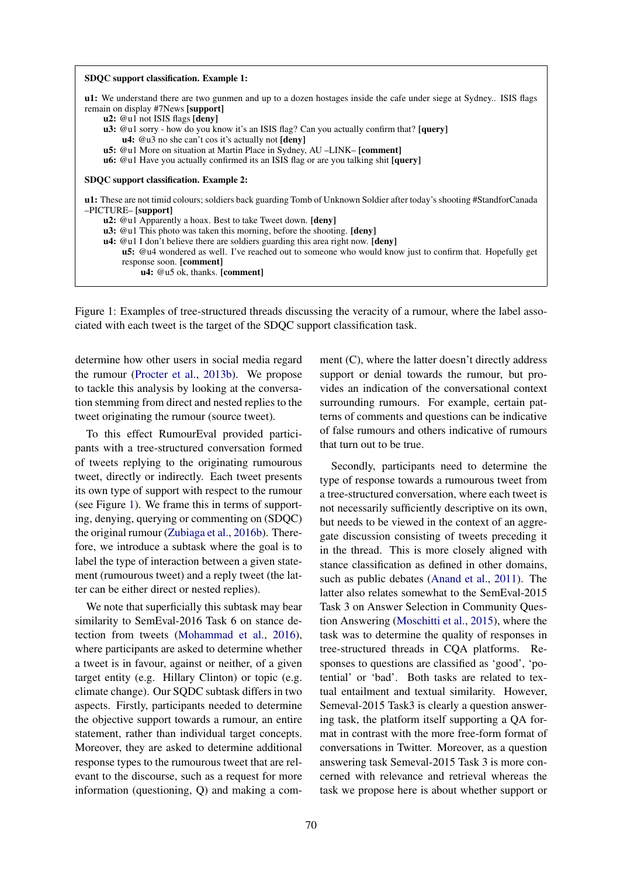| SDQC support classification. Example 1:                                                                                                                                                                                                                                                                      |
|--------------------------------------------------------------------------------------------------------------------------------------------------------------------------------------------------------------------------------------------------------------------------------------------------------------|
| <b>u1:</b> We understand there are two gunmen and up to a dozen hostages inside the cafe under siege at Sydney. ISIS flags<br>remain on display #7News [support]<br><b>u2:</b> @u1 not ISIS flags [deny]<br><b>u3:</b> @u1 sorry - how do you know it's an ISIS flag? Can you actually confirm that? [query] |
| $u4$ : @u3 no she can't cos it's actually not $[denv]$                                                                                                                                                                                                                                                       |
| u5: @u1 More on situation at Martin Place in Sydney, AU -LINK- [comment]<br><b>u6:</b> @u1 Have you actually confirmed its an ISIS flag or are you talking shit [query]                                                                                                                                      |
| SDQC support classification. Example 2:                                                                                                                                                                                                                                                                      |
| <b>u1:</b> These are not timid colours; soldiers back guarding Tomb of Unknown Soldier after today's shooting #StandforCanada<br>$-$ PICTURE $-$ [support]                                                                                                                                                   |
| <b>u2:</b> @u1 Apparently a hoax. Best to take Tweet down. <b>[deny]</b>                                                                                                                                                                                                                                     |
| <b>u3:</b> @u1 This photo was taken this morning, before the shooting. [deny]                                                                                                                                                                                                                                |
| $\mathbf{u}$ 4: @u1 I don't believe there are soldiers guarding this area right now. [deny]<br><b>u5:</b> @u4 wondered as well. I've reached out to someone who would know just to confirm that. Hopefully get<br>response soon. [comment]<br>$u4$ : @u5 ok, thanks. [comment]                               |
|                                                                                                                                                                                                                                                                                                              |

Figure 1: Examples of tree-structured threads discussing the veracity of a rumour, where the label associated with each tweet is the target of the SDQC support classification task.

determine how other users in social media regard the rumour (Procter et al., 2013b). We propose to tackle this analysis by looking at the conversation stemming from direct and nested replies to the tweet originating the rumour (source tweet).

To this effect RumourEval provided participants with a tree-structured conversation formed of tweets replying to the originating rumourous tweet, directly or indirectly. Each tweet presents its own type of support with respect to the rumour (see Figure 1). We frame this in terms of supporting, denying, querying or commenting on (SDQC) the original rumour (Zubiaga et al., 2016b). Therefore, we introduce a subtask where the goal is to label the type of interaction between a given statement (rumourous tweet) and a reply tweet (the latter can be either direct or nested replies).

We note that superficially this subtask may bear similarity to SemEval-2016 Task 6 on stance detection from tweets (Mohammad et al., 2016), where participants are asked to determine whether a tweet is in favour, against or neither, of a given target entity (e.g. Hillary Clinton) or topic (e.g. climate change). Our SQDC subtask differs in two aspects. Firstly, participants needed to determine the objective support towards a rumour, an entire statement, rather than individual target concepts. Moreover, they are asked to determine additional response types to the rumourous tweet that are relevant to the discourse, such as a request for more information (questioning, Q) and making a comment (C), where the latter doesn't directly address support or denial towards the rumour, but provides an indication of the conversational context surrounding rumours. For example, certain patterns of comments and questions can be indicative of false rumours and others indicative of rumours that turn out to be true.

Secondly, participants need to determine the type of response towards a rumourous tweet from a tree-structured conversation, where each tweet is not necessarily sufficiently descriptive on its own, but needs to be viewed in the context of an aggregate discussion consisting of tweets preceding it in the thread. This is more closely aligned with stance classification as defined in other domains, such as public debates (Anand et al., 2011). The latter also relates somewhat to the SemEval-2015 Task 3 on Answer Selection in Community Question Answering (Moschitti et al., 2015), where the task was to determine the quality of responses in tree-structured threads in CQA platforms. Responses to questions are classified as 'good', 'potential' or 'bad'. Both tasks are related to textual entailment and textual similarity. However, Semeval-2015 Task3 is clearly a question answering task, the platform itself supporting a QA format in contrast with the more free-form format of conversations in Twitter. Moreover, as a question answering task Semeval-2015 Task 3 is more concerned with relevance and retrieval whereas the task we propose here is about whether support or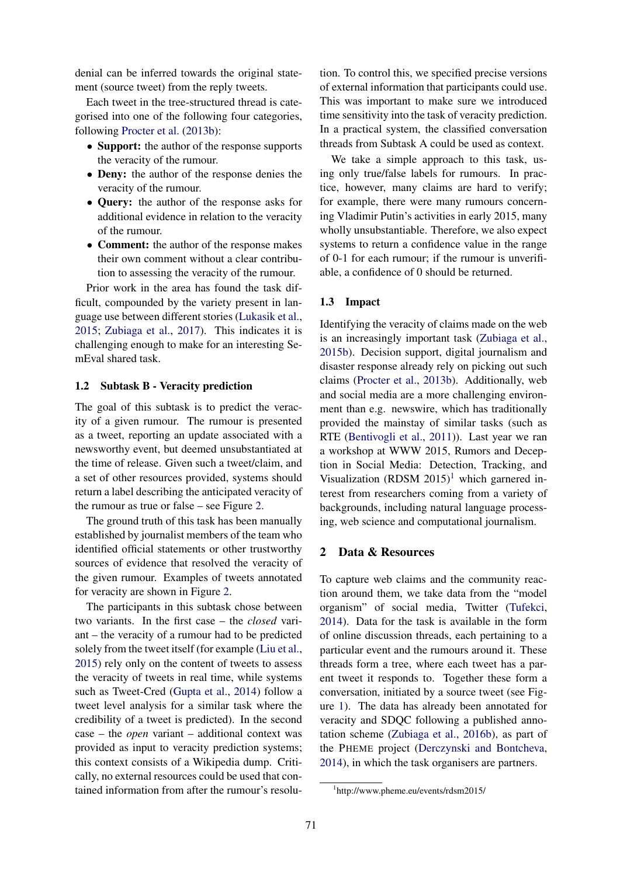denial can be inferred towards the original statement (source tweet) from the reply tweets.

Each tweet in the tree-structured thread is categorised into one of the following four categories, following Procter et al. (2013b):

- Support: the author of the response supports the veracity of the rumour.
- Deny: the author of the response denies the veracity of the rumour.
- Query: the author of the response asks for additional evidence in relation to the veracity of the rumour.
- Comment: the author of the response makes their own comment without a clear contribution to assessing the veracity of the rumour.

Prior work in the area has found the task difficult, compounded by the variety present in language use between different stories (Lukasik et al., 2015; Zubiaga et al., 2017). This indicates it is challenging enough to make for an interesting SemEval shared task.

### 1.2 Subtask B - Veracity prediction

The goal of this subtask is to predict the veracity of a given rumour. The rumour is presented as a tweet, reporting an update associated with a newsworthy event, but deemed unsubstantiated at the time of release. Given such a tweet/claim, and a set of other resources provided, systems should return a label describing the anticipated veracity of the rumour as true or false – see Figure 2.

The ground truth of this task has been manually established by journalist members of the team who identified official statements or other trustworthy sources of evidence that resolved the veracity of the given rumour. Examples of tweets annotated for veracity are shown in Figure 2.

The participants in this subtask chose between two variants. In the first case – the *closed* variant – the veracity of a rumour had to be predicted solely from the tweet itself (for example (Liu et al., 2015) rely only on the content of tweets to assess the veracity of tweets in real time, while systems such as Tweet-Cred (Gupta et al., 2014) follow a tweet level analysis for a similar task where the credibility of a tweet is predicted). In the second case – the *open* variant – additional context was provided as input to veracity prediction systems; this context consists of a Wikipedia dump. Critically, no external resources could be used that contained information from after the rumour's resolu-

tion. To control this, we specified precise versions of external information that participants could use. This was important to make sure we introduced time sensitivity into the task of veracity prediction. In a practical system, the classified conversation threads from Subtask A could be used as context.

We take a simple approach to this task, using only true/false labels for rumours. In practice, however, many claims are hard to verify; for example, there were many rumours concerning Vladimir Putin's activities in early 2015, many wholly unsubstantiable. Therefore, we also expect systems to return a confidence value in the range of 0-1 for each rumour; if the rumour is unverifiable, a confidence of 0 should be returned.

### 1.3 Impact

Identifying the veracity of claims made on the web is an increasingly important task (Zubiaga et al., 2015b). Decision support, digital journalism and disaster response already rely on picking out such claims (Procter et al., 2013b). Additionally, web and social media are a more challenging environment than e.g. newswire, which has traditionally provided the mainstay of similar tasks (such as RTE (Bentivogli et al., 2011)). Last year we ran a workshop at WWW 2015, Rumors and Deception in Social Media: Detection, Tracking, and Visualization (RDSM  $2015$ <sup>1</sup> which garnered interest from researchers coming from a variety of backgrounds, including natural language processing, web science and computational journalism.

# 2 Data & Resources

To capture web claims and the community reaction around them, we take data from the "model organism" of social media, Twitter (Tufekci, 2014). Data for the task is available in the form of online discussion threads, each pertaining to a particular event and the rumours around it. These threads form a tree, where each tweet has a parent tweet it responds to. Together these form a conversation, initiated by a source tweet (see Figure 1). The data has already been annotated for veracity and SDQC following a published annotation scheme (Zubiaga et al., 2016b), as part of the PHEME project (Derczynski and Bontcheva, 2014), in which the task organisers are partners.

<sup>1</sup> http://www.pheme.eu/events/rdsm2015/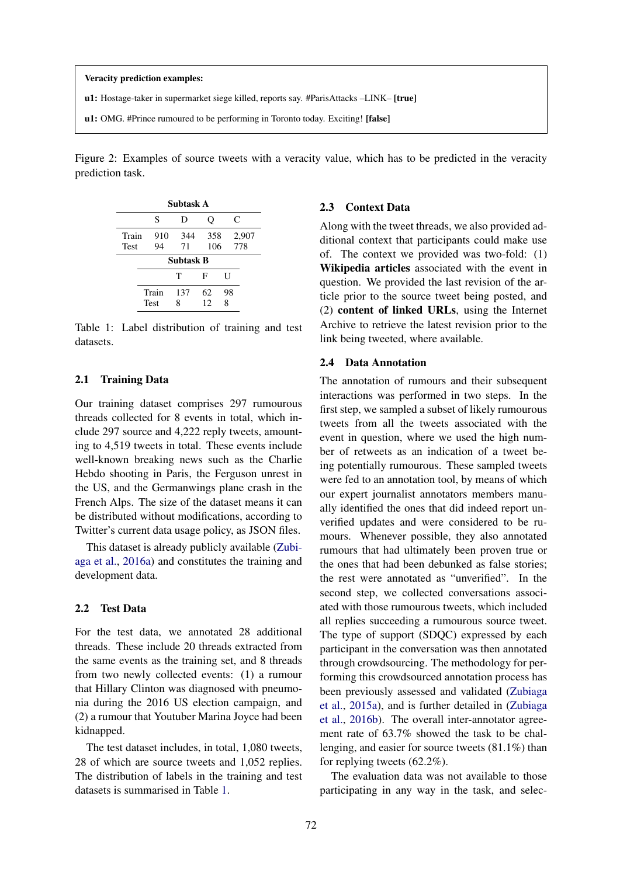#### Veracity prediction examples:

u1: Hostage-taker in supermarket siege killed, reports say. #ParisAttacks –LINK– [true]

u1: OMG. #Prince rumoured to be performing in Toronto today. Exciting! [false]

Figure 2: Examples of source tweets with a veracity value, which has to be predicted in the veracity prediction task.

| Subtask A            |                      |           |            |         |              |  |  |
|----------------------|----------------------|-----------|------------|---------|--------------|--|--|
|                      | S                    | D         | Ő          | C       |              |  |  |
| Train<br><b>Test</b> | 910<br>94            | 344<br>71 | 358<br>106 |         | 2,907<br>778 |  |  |
| <b>Subtask B</b>     |                      |           |            |         |              |  |  |
|                      |                      | Т         | F          | U       |              |  |  |
|                      | Train<br><b>Test</b> | 137<br>8  | 62<br>12   | 98<br>8 |              |  |  |

Table 1: Label distribution of training and test datasets.

#### 2.1 Training Data

Our training dataset comprises 297 rumourous threads collected for 8 events in total, which include 297 source and 4,222 reply tweets, amounting to 4,519 tweets in total. These events include well-known breaking news such as the Charlie Hebdo shooting in Paris, the Ferguson unrest in the US, and the Germanwings plane crash in the French Alps. The size of the dataset means it can be distributed without modifications, according to Twitter's current data usage policy, as JSON files.

This dataset is already publicly available (Zubiaga et al., 2016a) and constitutes the training and development data.

### 2.2 Test Data

For the test data, we annotated 28 additional threads. These include 20 threads extracted from the same events as the training set, and 8 threads from two newly collected events: (1) a rumour that Hillary Clinton was diagnosed with pneumonia during the 2016 US election campaign, and (2) a rumour that Youtuber Marina Joyce had been kidnapped.

The test dataset includes, in total, 1,080 tweets, 28 of which are source tweets and 1,052 replies. The distribution of labels in the training and test datasets is summarised in Table 1.

# 2.3 Context Data

Along with the tweet threads, we also provided additional context that participants could make use of. The context we provided was two-fold: (1) Wikipedia articles associated with the event in question. We provided the last revision of the article prior to the source tweet being posted, and (2) content of linked URLs, using the Internet Archive to retrieve the latest revision prior to the link being tweeted, where available.

### 2.4 Data Annotation

The annotation of rumours and their subsequent interactions was performed in two steps. In the first step, we sampled a subset of likely rumourous tweets from all the tweets associated with the event in question, where we used the high number of retweets as an indication of a tweet being potentially rumourous. These sampled tweets were fed to an annotation tool, by means of which our expert journalist annotators members manually identified the ones that did indeed report unverified updates and were considered to be rumours. Whenever possible, they also annotated rumours that had ultimately been proven true or the ones that had been debunked as false stories; the rest were annotated as "unverified". In the second step, we collected conversations associated with those rumourous tweets, which included all replies succeeding a rumourous source tweet. The type of support (SDQC) expressed by each participant in the conversation was then annotated through crowdsourcing. The methodology for performing this crowdsourced annotation process has been previously assessed and validated (Zubiaga et al., 2015a), and is further detailed in (Zubiaga et al., 2016b). The overall inter-annotator agreement rate of 63.7% showed the task to be challenging, and easier for source tweets (81.1%) than for replying tweets (62.2%).

The evaluation data was not available to those participating in any way in the task, and selec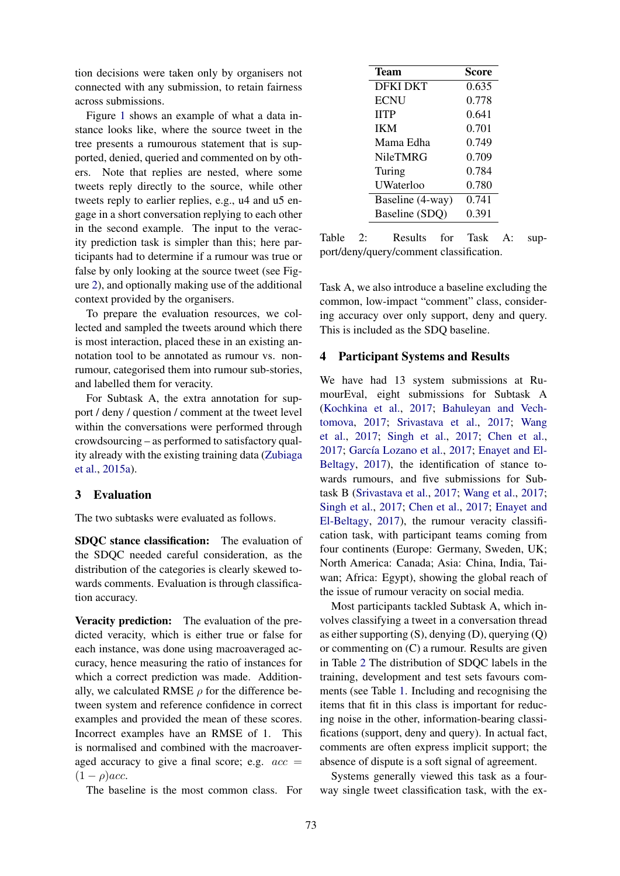tion decisions were taken only by organisers not connected with any submission, to retain fairness across submissions.

Figure 1 shows an example of what a data instance looks like, where the source tweet in the tree presents a rumourous statement that is supported, denied, queried and commented on by others. Note that replies are nested, where some tweets reply directly to the source, while other tweets reply to earlier replies, e.g., u4 and u5 engage in a short conversation replying to each other in the second example. The input to the veracity prediction task is simpler than this; here participants had to determine if a rumour was true or false by only looking at the source tweet (see Figure 2), and optionally making use of the additional context provided by the organisers.

To prepare the evaluation resources, we collected and sampled the tweets around which there is most interaction, placed these in an existing annotation tool to be annotated as rumour vs. nonrumour, categorised them into rumour sub-stories, and labelled them for veracity.

For Subtask A, the extra annotation for support / deny / question / comment at the tweet level within the conversations were performed through crowdsourcing – as performed to satisfactory quality already with the existing training data (Zubiaga et al., 2015a).

# 3 Evaluation

The two subtasks were evaluated as follows.

SDQC stance classification: The evaluation of the SDQC needed careful consideration, as the distribution of the categories is clearly skewed towards comments. Evaluation is through classification accuracy.

Veracity prediction: The evaluation of the predicted veracity, which is either true or false for each instance, was done using macroaveraged accuracy, hence measuring the ratio of instances for which a correct prediction was made. Additionally, we calculated RMSE  $\rho$  for the difference between system and reference confidence in correct examples and provided the mean of these scores. Incorrect examples have an RMSE of 1. This is normalised and combined with the macroaveraged accuracy to give a final score; e.g.  $acc =$  $(1 - \rho)$ acc.

The baseline is the most common class. For

| Team             | <b>Score</b> |
|------------------|--------------|
| <b>DFKI DKT</b>  | 0.635        |
| <b>ECNU</b>      | 0.778        |
| <b>HTP</b>       | 0.641        |
| <b>IKM</b>       | 0.701        |
| Mama Edha        | 0.749        |
| NileTMRG         | 0.709        |
| Turing           | 0.784        |
| UWaterloo        | 0.780        |
| Baseline (4-way) | 0.741        |
| Baseline (SDQ)   | 0.391        |

Table 2: Results for Task A: support/deny/query/comment classification.

Task A, we also introduce a baseline excluding the common, low-impact "comment" class, considering accuracy over only support, deny and query. This is included as the SDQ baseline.

### 4 Participant Systems and Results

We have had 13 system submissions at RumourEval, eight submissions for Subtask A (Kochkina et al., 2017; Bahuleyan and Vechtomova, 2017; Srivastava et al., 2017; Wang et al., 2017; Singh et al., 2017; Chen et al., 2017; García Lozano et al., 2017; Enayet and El-Beltagy, 2017), the identification of stance towards rumours, and five submissions for Subtask B (Srivastava et al., 2017; Wang et al., 2017; Singh et al., 2017; Chen et al., 2017; Enayet and El-Beltagy, 2017), the rumour veracity classification task, with participant teams coming from four continents (Europe: Germany, Sweden, UK; North America: Canada; Asia: China, India, Taiwan; Africa: Egypt), showing the global reach of the issue of rumour veracity on social media.

Most participants tackled Subtask A, which involves classifying a tweet in a conversation thread as either supporting  $(S)$ , denying  $(D)$ , querying  $(Q)$ or commenting on (C) a rumour. Results are given in Table 2 The distribution of SDQC labels in the training, development and test sets favours comments (see Table 1. Including and recognising the items that fit in this class is important for reducing noise in the other, information-bearing classifications (support, deny and query). In actual fact, comments are often express implicit support; the absence of dispute is a soft signal of agreement.

Systems generally viewed this task as a fourway single tweet classification task, with the ex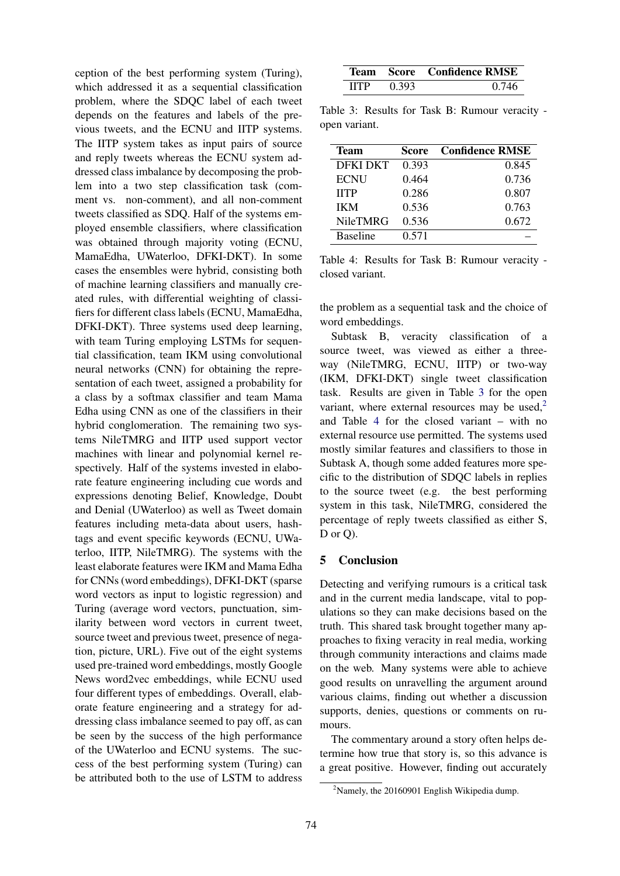ception of the best performing system (Turing), which addressed it as a sequential classification problem, where the SDQC label of each tweet depends on the features and labels of the previous tweets, and the ECNU and IITP systems. The IITP system takes as input pairs of source and reply tweets whereas the ECNU system addressed class imbalance by decomposing the problem into a two step classification task (comment vs. non-comment), and all non-comment tweets classified as SDQ. Half of the systems employed ensemble classifiers, where classification was obtained through majority voting (ECNU, MamaEdha, UWaterloo, DFKI-DKT). In some cases the ensembles were hybrid, consisting both of machine learning classifiers and manually created rules, with differential weighting of classifiers for different class labels (ECNU, MamaEdha, DFKI-DKT). Three systems used deep learning, with team Turing employing LSTMs for sequential classification, team IKM using convolutional neural networks (CNN) for obtaining the representation of each tweet, assigned a probability for a class by a softmax classifier and team Mama Edha using CNN as one of the classifiers in their hybrid conglomeration. The remaining two systems NileTMRG and IITP used support vector machines with linear and polynomial kernel respectively. Half of the systems invested in elaborate feature engineering including cue words and expressions denoting Belief, Knowledge, Doubt and Denial (UWaterloo) as well as Tweet domain features including meta-data about users, hashtags and event specific keywords (ECNU, UWaterloo, IITP, NileTMRG). The systems with the least elaborate features were IKM and Mama Edha for CNNs (word embeddings), DFKI-DKT (sparse word vectors as input to logistic regression) and Turing (average word vectors, punctuation, similarity between word vectors in current tweet, source tweet and previous tweet, presence of negation, picture, URL). Five out of the eight systems used pre-trained word embeddings, mostly Google News word2vec embeddings, while ECNU used four different types of embeddings. Overall, elaborate feature engineering and a strategy for addressing class imbalance seemed to pay off, as can be seen by the success of the high performance of the UWaterloo and ECNU systems. The success of the best performing system (Turing) can be attributed both to the use of LSTM to address

|      |       | Team Score Confidence RMSE |
|------|-------|----------------------------|
| HTP. | 0.393 |                            |

Table 3: Results for Task B: Rumour veracity open variant.

| Team            | Score | <b>Confidence RMSE</b> |
|-----------------|-------|------------------------|
| DFKI DKT        | 0.393 | 0.845                  |
| <b>ECNU</b>     | 0.464 | 0.736                  |
| <b>HTP</b>      | 0.286 | 0.807                  |
| <b>IKM</b>      | 0.536 | 0.763                  |
| <b>NileTMRG</b> | 0.536 | 0.672                  |
| <b>Baseline</b> | 0.571 |                        |

Table 4: Results for Task B: Rumour veracity closed variant.

the problem as a sequential task and the choice of word embeddings.

Subtask B, veracity classification of a source tweet, was viewed as either a threeway (NileTMRG, ECNU, IITP) or two-way (IKM, DFKI-DKT) single tweet classification task. Results are given in Table 3 for the open variant, where external resources may be used, $2$ and Table 4 for the closed variant – with no external resource use permitted. The systems used mostly similar features and classifiers to those in Subtask A, though some added features more specific to the distribution of SDQC labels in replies to the source tweet (e.g. the best performing system in this task, NileTMRG, considered the percentage of reply tweets classified as either S, D or Q).

# 5 Conclusion

Detecting and verifying rumours is a critical task and in the current media landscape, vital to populations so they can make decisions based on the truth. This shared task brought together many approaches to fixing veracity in real media, working through community interactions and claims made on the web. Many systems were able to achieve good results on unravelling the argument around various claims, finding out whether a discussion supports, denies, questions or comments on rumours.

The commentary around a story often helps determine how true that story is, so this advance is a great positive. However, finding out accurately

 $2$ Namely, the 20160901 English Wikipedia dump.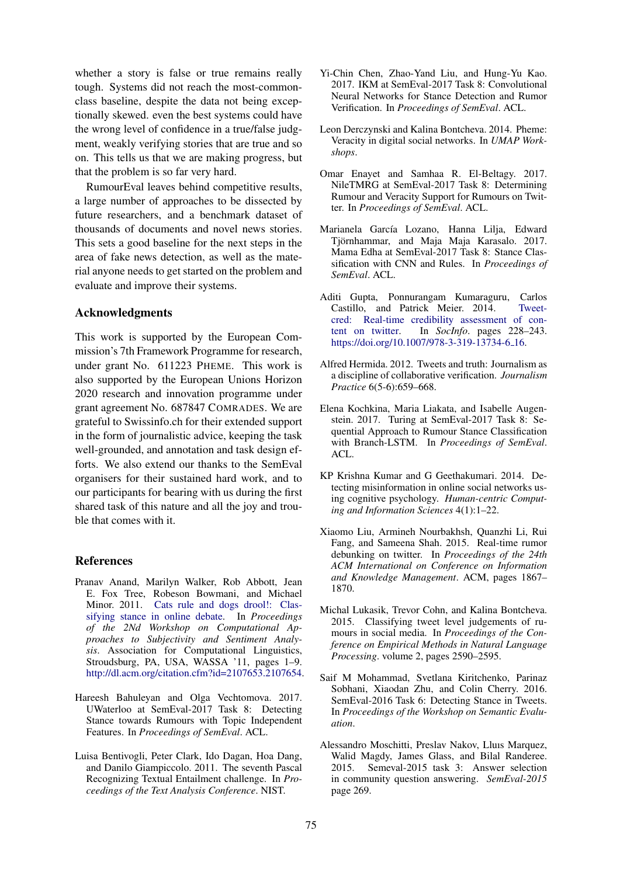whether a story is false or true remains really tough. Systems did not reach the most-commonclass baseline, despite the data not being exceptionally skewed. even the best systems could have the wrong level of confidence in a true/false judgment, weakly verifying stories that are true and so on. This tells us that we are making progress, but that the problem is so far very hard.

RumourEval leaves behind competitive results, a large number of approaches to be dissected by future researchers, and a benchmark dataset of thousands of documents and novel news stories. This sets a good baseline for the next steps in the area of fake news detection, as well as the material anyone needs to get started on the problem and evaluate and improve their systems.

# Acknowledgments

This work is supported by the European Commission's 7th Framework Programme for research, under grant No. 611223 PHEME. This work is also supported by the European Unions Horizon 2020 research and innovation programme under grant agreement No. 687847 COMRADES. We are grateful to Swissinfo.ch for their extended support in the form of journalistic advice, keeping the task well-grounded, and annotation and task design efforts. We also extend our thanks to the SemEval organisers for their sustained hard work, and to our participants for bearing with us during the first shared task of this nature and all the joy and trouble that comes with it.

#### **References**

- Pranav Anand, Marilyn Walker, Rob Abbott, Jean E. Fox Tree, Robeson Bowmani, and Michael Minor. 2011. Cats rule and dogs drool!: Classifying stance in online debate. In *Proceedings of the 2Nd Workshop on Computational Approaches to Subjectivity and Sentiment Analysis*. Association for Computational Linguistics, Stroudsburg, PA, USA, WASSA '11, pages 1–9. http://dl.acm.org/citation.cfm?id=2107653.2107654.
- Hareesh Bahuleyan and Olga Vechtomova. 2017. UWaterloo at SemEval-2017 Task 8: Detecting Stance towards Rumours with Topic Independent Features. In *Proceedings of SemEval*. ACL.
- Luisa Bentivogli, Peter Clark, Ido Dagan, Hoa Dang, and Danilo Giampiccolo. 2011. The seventh Pascal Recognizing Textual Entailment challenge. In *Proceedings of the Text Analysis Conference*. NIST.
- Yi-Chin Chen, Zhao-Yand Liu, and Hung-Yu Kao. 2017. IKM at SemEval-2017 Task 8: Convolutional Neural Networks for Stance Detection and Rumor Verification. In *Proceedings of SemEval*. ACL.
- Leon Derczynski and Kalina Bontcheva. 2014. Pheme: Veracity in digital social networks. In *UMAP Workshops*.
- Omar Enayet and Samhaa R. El-Beltagy. 2017. NileTMRG at SemEval-2017 Task 8: Determining Rumour and Veracity Support for Rumours on Twitter. In *Proceedings of SemEval*. ACL.
- Marianela García Lozano, Hanna Lilja, Edward Tjörnhammar, and Maja Maja Karasalo. 2017. Mama Edha at SemEval-2017 Task 8: Stance Classification with CNN and Rules. In *Proceedings of SemEval*. ACL.
- Aditi Gupta, Ponnurangam Kumaraguru, Carlos Castillo, and Patrick Meier. 2014. Tweetcred: Real-time credibility assessment of content on twitter. In *SocInfo*. pages 228–243. https://doi.org/10.1007/978-3-319-13734-6<sub>-16</sub>.
- Alfred Hermida. 2012. Tweets and truth: Journalism as a discipline of collaborative verification. *Journalism Practice* 6(5-6):659–668.
- Elena Kochkina, Maria Liakata, and Isabelle Augenstein. 2017. Turing at SemEval-2017 Task 8: Sequential Approach to Rumour Stance Classification with Branch-LSTM. In *Proceedings of SemEval*.  $ACL$
- KP Krishna Kumar and G Geethakumari. 2014. Detecting misinformation in online social networks using cognitive psychology. *Human-centric Computing and Information Sciences* 4(1):1–22.
- Xiaomo Liu, Armineh Nourbakhsh, Quanzhi Li, Rui Fang, and Sameena Shah. 2015. Real-time rumor debunking on twitter. In *Proceedings of the 24th ACM International on Conference on Information and Knowledge Management*. ACM, pages 1867– 1870.
- Michal Lukasik, Trevor Cohn, and Kalina Bontcheva. 2015. Classifying tweet level judgements of rumours in social media. In *Proceedings of the Conference on Empirical Methods in Natural Language Processing*. volume 2, pages 2590–2595.
- Saif M Mohammad, Svetlana Kiritchenko, Parinaz Sobhani, Xiaodan Zhu, and Colin Cherry. 2016. SemEval-2016 Task 6: Detecting Stance in Tweets. In *Proceedings of the Workshop on Semantic Evaluation*.
- Alessandro Moschitti, Preslav Nakov, Lluıs Marquez, Walid Magdy, James Glass, and Bilal Randeree. 2015. Semeval-2015 task 3: Answer selection in community question answering. *SemEval-2015* page 269.